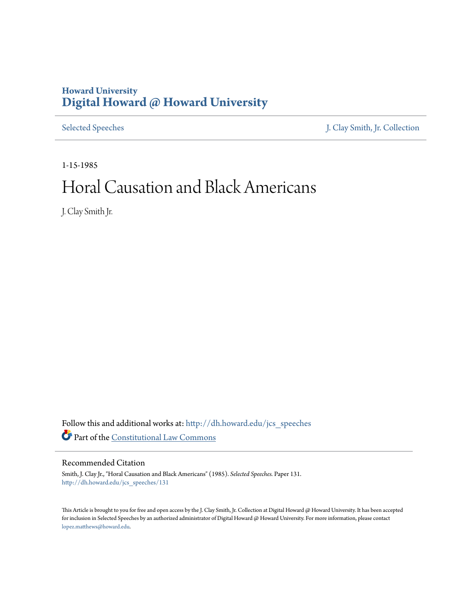#### **Howard University [Digital Howard @ Howard University](http://dh.howard.edu?utm_source=dh.howard.edu%2Fjcs_speeches%2F131&utm_medium=PDF&utm_campaign=PDFCoverPages)**

[Selected Speeches](http://dh.howard.edu/jcs_speeches?utm_source=dh.howard.edu%2Fjcs_speeches%2F131&utm_medium=PDF&utm_campaign=PDFCoverPages) [J. Clay Smith, Jr. Collection](http://dh.howard.edu/jcsmith?utm_source=dh.howard.edu%2Fjcs_speeches%2F131&utm_medium=PDF&utm_campaign=PDFCoverPages)

1-15-1985

## Horal Causation and Black Americans

J. Clay Smith Jr.

Follow this and additional works at: [http://dh.howard.edu/jcs\\_speeches](http://dh.howard.edu/jcs_speeches?utm_source=dh.howard.edu%2Fjcs_speeches%2F131&utm_medium=PDF&utm_campaign=PDFCoverPages) Part of the [Constitutional Law Commons](http://network.bepress.com/hgg/discipline/589?utm_source=dh.howard.edu%2Fjcs_speeches%2F131&utm_medium=PDF&utm_campaign=PDFCoverPages)

Recommended Citation

Smith, J. Clay Jr., "Horal Causation and Black Americans" (1985). *Selected Speeches.* Paper 131. [http://dh.howard.edu/jcs\\_speeches/131](http://dh.howard.edu/jcs_speeches/131?utm_source=dh.howard.edu%2Fjcs_speeches%2F131&utm_medium=PDF&utm_campaign=PDFCoverPages)

This Article is brought to you for free and open access by the J. Clay Smith, Jr. Collection at Digital Howard @ Howard University. It has been accepted for inclusion in Selected Speeches by an authorized administrator of Digital Howard @ Howard University. For more information, please contact [lopez.matthews@howard.edu.](mailto:lopez.matthews@howard.edu)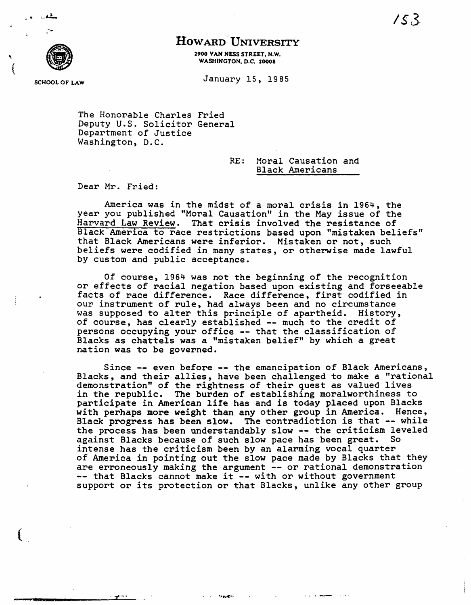#### HOWARD UNIVERSITY

2900 VAN NESS STREET. N.W. WASHINGTON. D.C. 20008

SCHOOL OF LAW January 15, 1985

I)

. '"'-

,

 $\left($ 

 $\left($ 

The Honorable Charles Fried Deputy U.S. Solicitor General Department of Justice Washington, D.C.

"r -. . . .,~~.

RE: Horal Causation and Black Americans

Dear Mr. Fried:

America was in the midst of a moral cr1S1S *in* 1964, the year you published "Moral Causation" in the May *issue* of the Harvard Law Review. That crisis involved the resistance of Black America to race restrictions based upon "mistaken beliefs" that Black Americans were inferior. Mistaken or not, such beliefs were codified *in* many states, or otherwise made lawful by custom and public acceptance.

Of course, 1964 was not the beginning of the recognition or effects of racial negation based upon existing and forseeable facts of race difference. Race difference, first codified in our instrument of rule, had always been and no circumstance was supposed to alter this principle of apartheid. History, of course, has clearly established -- much to the credit of persons occupying your office -- that the classification of Blacks as chattels was a "mistaken belief" by which a great nation was to be governed.

Since -- even before -- the emancipation of Black Americans, Blacks, and their allies, have been challenged to make a "rational demonstration" of the rightness of their quest as valued lives *in* the republic. The burden of establishing moralworthiness to participate in American life has and is today placed upon Blacks with perhaps more weight than any other group in America. Hence, Black progress has been slow. The contradiction is that -- while the process has been understandably slow -- the criticism leveled against Blacks because of such slow pace has been great. So intense has the criticism been by an alarming vocal quarter of America in pointing out the slow pace made by Blacks that they are erroneously making the argument -- or rational demonstration<br>-- that Blacks cannot make it -- with or without government support or its protection or that Blacks, unlike any other group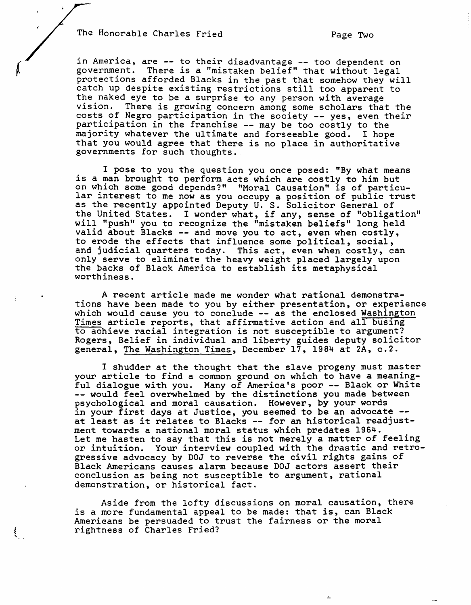The Honorable Charles Fried Page Two

in America, are -- to their disadvantage -- too dependent on<br>government. There is a "mistaken belief" that without legal There is a "mistaken belief" that without legal protections afforded Blacks in the past that somehow they will catch up despite existing restrictions still too apparent to the naked eye to be a surprise to any person with average vision. There is growing concern among some scholars that the costs of Negro participation in the society -- yes, even their participation in the franchise -- may be too costly to the majority whatever the ultimate and forseeable good. I hope that you would agree that there is no place in authoritative governments for such thoughts.

I pose to you the question you once posed: "By what means is a man brought to perform acts which are costly to him but<br>on which some good depends?" "Moral Causation" is of particuon which some good depends?" "Moral Causation" is of particu- lar interest to me now as you occupy a position of public trust as the recently appointed Deputy U. S. Solicitor General of the United States. I wonder what, if any, sense of "obligation" will "push" you to recognize the "mistaken beliefs" long held valid about Blacks -- and move you to act, even when costly, to erode the effects that influence some political, social, and judicial quarters today. This act, even when costly, can only serve to eliminate the heavy weight placed largely upon the backs of Black America to establish its metaphysical worthiness.

A recent article made me wonder what rational demonstrations have been made to you by either presentation, or experience which would cause you to conclude -- as the enclosed Washington Times article reports, that affirmative action and all busing to achieve racial integration is not susceptible to argument? Rogers, Belief in individual and liberty guides deputy solicitor general, The Washington Times, December 17, 1984 at 2A, c.2.

I shudder at the thought that the slave progeny must master your article to find a common ground on which to have a meaningful dialogue with you. Many of America's poor -- Black or White<br>-- would feel overwhelmed by the distinctions you made between psychological and moral causation. However, by your words in your first days at Justice, you seemed to be an advocate --<br>at least as it relates to Blacks -- for an historical readjustment towards a national moral status which predates 1964. Let me hasten to say that this is not merely a matter of feeling or intuition. Your interview coupled with the drastic and retrogressive advocacy by DOJ to reverse the civil rights gains of Black Americans causes alarm because DOJ actors assert their conclusion as being not susceptible to argument, rational demonstration, or historical fact.

Aside from the lofty discussions on moral causation, there is a more fundamental appeal to be made: that is, can Black Americans be persuaded to trust the fairness or the moral rightness of Charles Fried?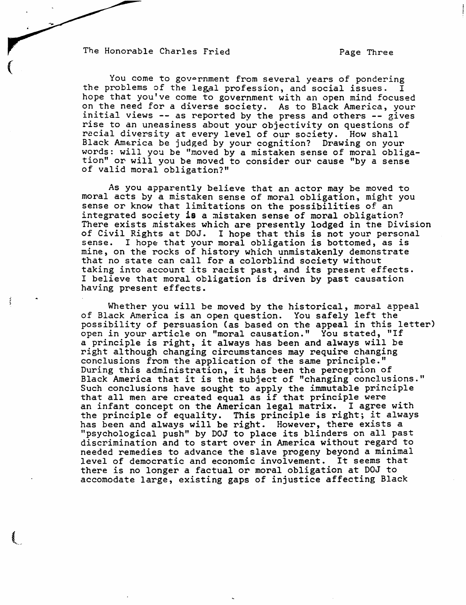The Honorable Charles Fried Page Three

 $\big($ 

You come to government from several years of pondering the problems of the legal profession, and social issues. I hope that you've come to government with an open mind focused on the need for a diverse society. As to Black America, your initial views -- as reported by the press and others -- gives rise to an uneasiness about your objectivity on questions of racial diversity at every level of our society. How shall Black America be judged by your cognition? Drawing on your words: will you be "moved by a mistaken sense of moral obligation" or will you be moved to consider our cause "by a sense of valid moral obligation?"

As you apparently believe that an actor may be moved to moral acts by a mistaken sense of moral obligation, might you sense or know that limitations on the possibilities of an integrated society is a mistaken sense of moral obligation? There exists mistakes which are presently lodged in the Division of Civil Rights at DOJ. I hope that this is not your personal<br>sense. I hope that your moral obligation is bottomed, as is I hope that your moral obligation is bottomed, as is mine, on the rocks of history which unmistakenly demonstrate that no state can call for a colorblind society without taking into account its racist past, and its present effects. I believe that moral obligation is driven by past causation having present effects.

Whether you will be moved by the historical, moral appeal of Black America *is* an open question. You safely left the possibility of persuasion (as based on the appeal in this letter) open in your article on "moral causation." You stated, "If a principle is right, it always has been and always will be right although changing circumstances may require changing conclusions from the application of the same principle." During this administration, it has been the perception of Black America that it is the subject of "changing conclusions." Such conclusions have sought to apply the immutable principle that all men are created equal as if that principle were an infant concept on the American legal matrix. I agree with the principle of equality. This principle is right; it always has been and always will be right. However, there exists a "psychological push" by DOJ to place its blinders on all past discrimination and to start over in America without regard to needed remedies to advance the slave progeny beyond a minimal level of democratic and economic involvement. It seems that there is no longer a factual or moral obligation at DOJ to accomodate large, existing gaps of injustice affecting Black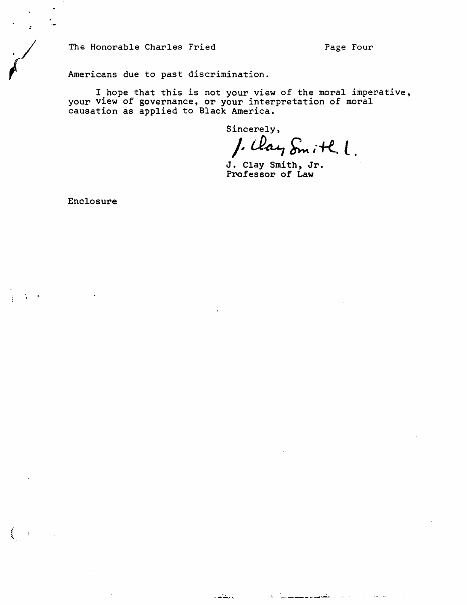The Honorable Charles Fried Page Four

Americans due to past discrimination.

I hope that this is not your view of the moral imperative, your view of governance, or your interpretation of moral causation as applied to Black America.

المنابذ والمتأسب

a na matangan na kalendar na matang

 $\sim 10^{-1}$  and

Sincerely,

 $\int. \mathcal{U} \alpha \varphi \, \delta_m$  ith  $\ell$ .

Professor of Law

Enclosure

'/ *I* 

 $\left($ 

÷